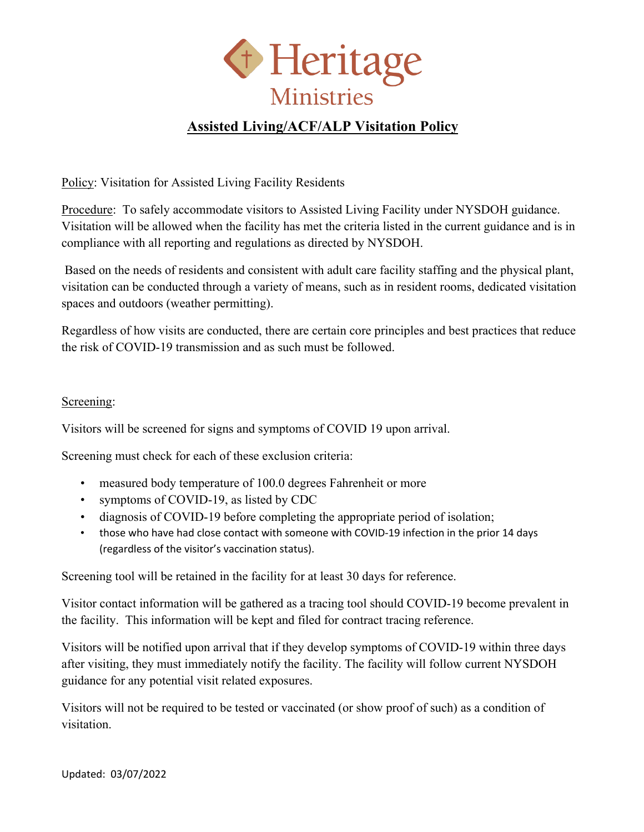

## **Assisted Living/ACF/ALP Visitation Policy**

Policy: Visitation for Assisted Living Facility Residents

Procedure: To safely accommodate visitors to Assisted Living Facility under NYSDOH guidance. Visitation will be allowed when the facility has met the criteria listed in the current guidance and is in compliance with all reporting and regulations as directed by NYSDOH.

Based on the needs of residents and consistent with adult care facility staffing and the physical plant, visitation can be conducted through a variety of means, such as in resident rooms, dedicated visitation spaces and outdoors (weather permitting).

Regardless of how visits are conducted, there are certain core principles and best practices that reduce the risk of COVID-19 transmission and as such must be followed.

## Screening:

Visitors will be screened for signs and symptoms of COVID 19 upon arrival.

Screening must check for each of these exclusion criteria:

- measured body temperature of 100.0 degrees Fahrenheit or more
- symptoms of COVID-19, as listed by CDC
- diagnosis of COVID-19 before completing the appropriate period of isolation;
- those who have had close contact with someone with COVID-19 infection in the prior 14 days (regardless of the visitor's vaccination status).

Screening tool will be retained in the facility for at least 30 days for reference.

Visitor contact information will be gathered as a tracing tool should COVID-19 become prevalent in the facility. This information will be kept and filed for contract tracing reference.

Visitors will be notified upon arrival that if they develop symptoms of COVID-19 within three days after visiting, they must immediately notify the facility. The facility will follow current NYSDOH guidance for any potential visit related exposures.

Visitors will not be required to be tested or vaccinated (or show proof of such) as a condition of visitation.